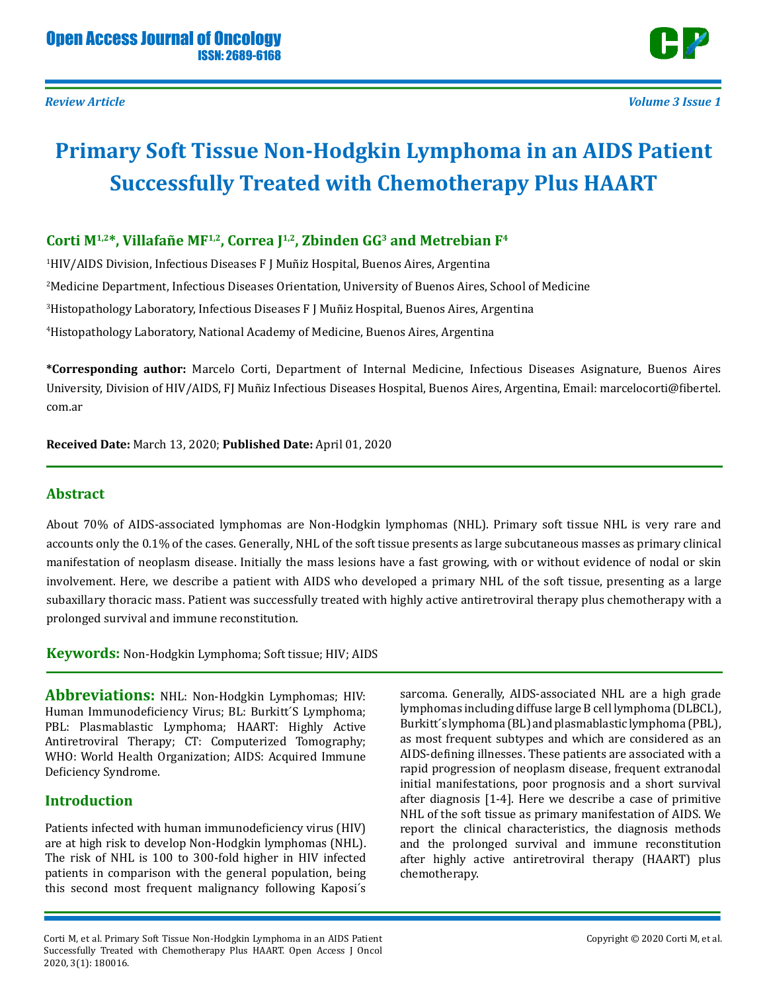

# **Primary Soft Tissue Non-Hodgkin Lymphoma in an AIDS Patient Successfully Treated with Chemotherapy Plus HAART**

# **Corti M1,2\*, Villafañe MF1,2, Correa J1,2, Zbinden GG3 and Metrebian F4**

 HIV/AIDS Division, Infectious Diseases F J Muñiz Hospital, Buenos Aires, Argentina Medicine Department, Infectious Diseases Orientation, University of Buenos Aires, School of Medicine Histopathology Laboratory, Infectious Diseases F J Muñiz Hospital, Buenos Aires, Argentina Histopathology Laboratory, National Academy of Medicine, Buenos Aires, Argentina

**\*Corresponding author:** Marcelo Corti, Department of Internal Medicine, Infectious Diseases Asignature, Buenos Aires University, Division of HIV/AIDS, FJ Muñiz Infectious Diseases Hospital, Buenos Aires, Argentina, Email: marcelocorti@fibertel. com.ar

**Received Date:** March 13, 2020; **Published Date:** April 01, 2020

#### **Abstract**

About 70% of AIDS-associated lymphomas are Non-Hodgkin lymphomas (NHL). Primary soft tissue NHL is very rare and accounts only the 0.1% of the cases. Generally, NHL of the soft tissue presents as large subcutaneous masses as primary clinical manifestation of neoplasm disease. Initially the mass lesions have a fast growing, with or without evidence of nodal or skin involvement. Here, we describe a patient with AIDS who developed a primary NHL of the soft tissue, presenting as a large subaxillary thoracic mass. Patient was successfully treated with highly active antiretroviral therapy plus chemotherapy with a prolonged survival and immune reconstitution.

**Keywords:** Non-Hodgkin Lymphoma; Soft tissue; HIV; AIDS

Abbreviations: NHL: Non-Hodgkin Lymphomas; HIV: Human Immunodeficiency Virus; BL: Burkitt´S Lymphoma; PBL: Plasmablastic Lymphoma; HAART: Highly Active Antiretroviral Therapy; CT: Computerized Tomography; WHO: World Health Organization; AIDS: Acquired Immune Deficiency Syndrome.

## **Introduction**

Patients infected with human immunodeficiency virus (HIV) are at high risk to develop Non-Hodgkin lymphomas (NHL). The risk of NHL is 100 to 300-fold higher in HIV infected patients in comparison with the general population, being this second most frequent malignancy following Kaposi´s

sarcoma. Generally, AIDS-associated NHL are a high grade lymphomas including diffuse large B cell lymphoma (DLBCL), Burkitt´s lymphoma (BL) and plasmablastic lymphoma (PBL), as most frequent subtypes and which are considered as an AIDS-defining illnesses. These patients are associated with a rapid progression of neoplasm disease, frequent extranodal initial manifestations, poor prognosis and a short survival after diagnosis [1-4]. Here we describe a case of primitive NHL of the soft tissue as primary manifestation of AIDS. We report the clinical characteristics, the diagnosis methods and the prolonged survival and immune reconstitution after highly active antiretroviral therapy (HAART) plus chemotherapy.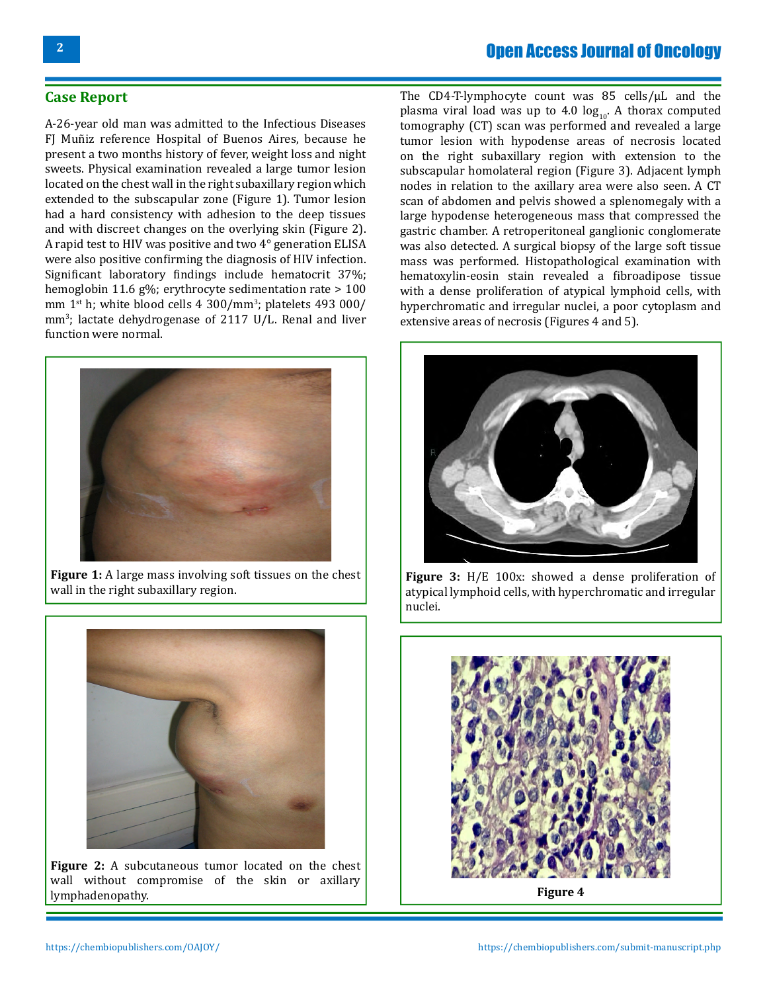# Open Access Journal of Oncology

#### **Case Report**

A-26-year old man was admitted to the Infectious Diseases FJ Muñiz reference Hospital of Buenos Aires, because he present a two months history of fever, weight loss and night sweets. Physical examination revealed a large tumor lesion located on the chest wall in the right subaxillary region which extended to the subscapular zone (Figure 1). Tumor lesion had a hard consistency with adhesion to the deep tissues and with discreet changes on the overlying skin (Figure 2). A rapid test to HIV was positive and two 4° generation ELISA were also positive confirming the diagnosis of HIV infection. Significant laboratory findings include hematocrit 37%; hemoglobin 11.6 g%; erythrocyte sedimentation rate > 100 mm  $1<sup>st</sup>$  h; white blood cells  $4\,300/\text{mm}^3$ ; platelets  $493\,000/\text{mm}$ mm<sup>3</sup> ; lactate dehydrogenase of 2117 U/L. Renal and liver function were normal.



**Figure 1:** A large mass involving soft tissues on the chest wall in the right subaxillary region.



**Figure 2:** A subcutaneous tumor located on the chest wall without compromise of the skin or axillary lymphadenopathy.

The CD4-T-lymphocyte count was 85 cells/µL and the plasma viral load was up to 4.0  $log_{10}$ . A thorax computed tomography (CT) scan was performed and revealed a large tumor lesion with hypodense areas of necrosis located on the right subaxillary region with extension to the subscapular homolateral region (Figure 3). Adjacent lymph nodes in relation to the axillary area were also seen. A CT scan of abdomen and pelvis showed a splenomegaly with a large hypodense heterogeneous mass that compressed the gastric chamber. A retroperitoneal ganglionic conglomerate was also detected. A surgical biopsy of the large soft tissue mass was performed. Histopathological examination with hematoxylin-eosin stain revealed a fibroadipose tissue with a dense proliferation of atypical lymphoid cells, with hyperchromatic and irregular nuclei, a poor cytoplasm and extensive areas of necrosis (Figures 4 and 5).



**Figure 3:** H/E 100x: showed a dense proliferation of atypical lymphoid cells, with hyperchromatic and irregular nuclei.

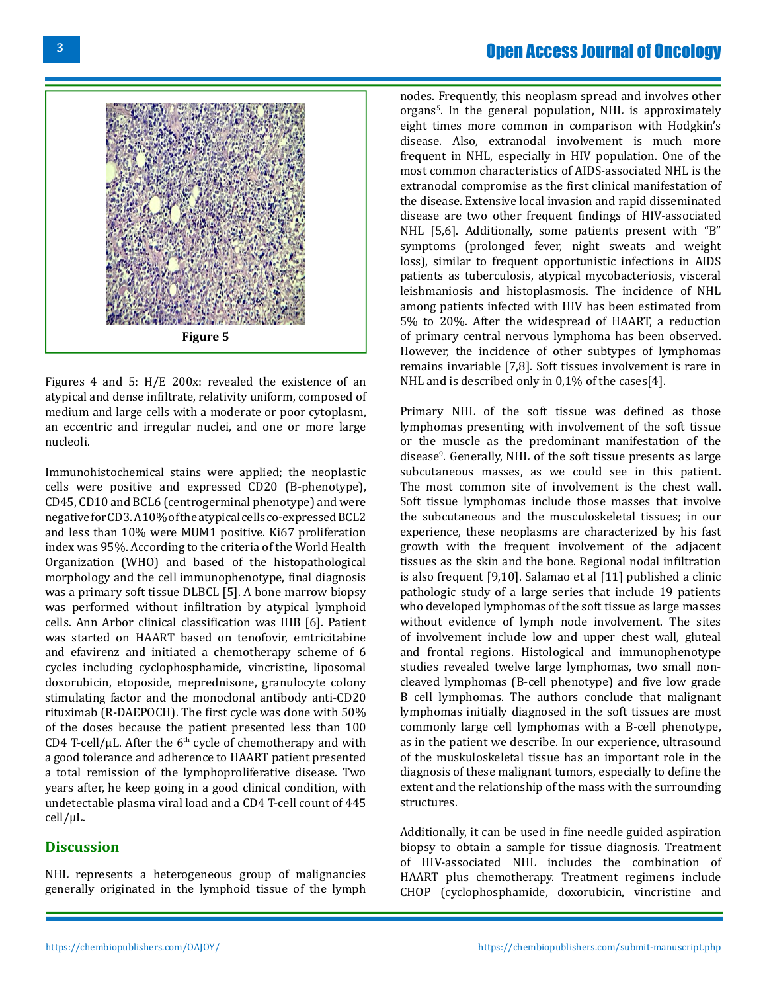# Open Access Journal of Oncology



Figures 4 and 5: H/E 200x: revealed the existence of an atypical and dense infiltrate, relativity uniform, composed of medium and large cells with a moderate or poor cytoplasm, an eccentric and irregular nuclei, and one or more large nucleoli.

Immunohistochemical stains were applied; the neoplastic cells were positive and expressed CD20 (B-phenotype), CD45, CD10 and BCL6 (centrogerminal phenotype) and were negative for CD3. A 10% of the atypical cells co-expressed BCL2 and less than 10% were MUM1 positive. Ki67 proliferation index was 95%. According to the criteria of the World Health Organization (WHO) and based of the histopathological morphology and the cell immunophenotype, final diagnosis was a primary soft tissue DLBCL [5]. A bone marrow biopsy was performed without infiltration by atypical lymphoid cells. Ann Arbor clinical classification was IIIB [6]. Patient was started on HAART based on tenofovir, emtricitabine and efavirenz and initiated a chemotherapy scheme of 6 cycles including cyclophosphamide, vincristine, liposomal doxorubicin, etoposide, meprednisone, granulocyte colony stimulating factor and the monoclonal antibody anti-CD20 rituximab (R-DAEPOCH). The first cycle was done with 50% of the doses because the patient presented less than 100 CD4 T-cell/ $\mu$ L. After the 6<sup>th</sup> cycle of chemotherapy and with a good tolerance and adherence to HAART patient presented a total remission of the lymphoproliferative disease. Two years after, he keep going in a good clinical condition, with undetectable plasma viral load and a CD4 T-cell count of 445 cell/µL.

#### **Discussion**

NHL represents a heterogeneous group of malignancies generally originated in the lymphoid tissue of the lymph

nodes. Frequently, this neoplasm spread and involves other organs<sup>s</sup>. In the general population, NHL is approximately eight times more common in comparison with Hodgkin's disease. Also, extranodal involvement is much more frequent in NHL, especially in HIV population. One of the most common characteristics of AIDS-associated NHL is the extranodal compromise as the first clinical manifestation of the disease. Extensive local invasion and rapid disseminated disease are two other frequent findings of HIV-associated NHL [5,6]. Additionally, some patients present with "B" symptoms (prolonged fever, night sweats and weight loss), similar to frequent opportunistic infections in AIDS patients as tuberculosis, atypical mycobacteriosis, visceral leishmaniosis and histoplasmosis. The incidence of NHL among patients infected with HIV has been estimated from 5% to 20%. After the widespread of HAART, a reduction of primary central nervous lymphoma has been observed. However, the incidence of other subtypes of lymphomas remains invariable [7,8]. Soft tissues involvement is rare in NHL and is described only in 0,1% of the cases[4].

Primary NHL of the soft tissue was defined as those lymphomas presenting with involvement of the soft tissue or the muscle as the predominant manifestation of the disease9 . Generally, NHL of the soft tissue presents as large subcutaneous masses, as we could see in this patient. The most common site of involvement is the chest wall. Soft tissue lymphomas include those masses that involve the subcutaneous and the musculoskeletal tissues; in our experience, these neoplasms are characterized by his fast growth with the frequent involvement of the adjacent tissues as the skin and the bone. Regional nodal infiltration is also frequent [9,10]. Salamao et al [11] published a clinic pathologic study of a large series that include 19 patients who developed lymphomas of the soft tissue as large masses without evidence of lymph node involvement. The sites of involvement include low and upper chest wall, gluteal and frontal regions. Histological and immunophenotype studies revealed twelve large lymphomas, two small noncleaved lymphomas (B-cell phenotype) and five low grade B cell lymphomas. The authors conclude that malignant lymphomas initially diagnosed in the soft tissues are most commonly large cell lymphomas with a B-cell phenotype, as in the patient we describe. In our experience, ultrasound of the muskuloskeletal tissue has an important role in the diagnosis of these malignant tumors, especially to define the extent and the relationship of the mass with the surrounding structures.

Additionally, it can be used in fine needle guided aspiration biopsy to obtain a sample for tissue diagnosis. Treatment of HIV-associated NHL includes the combination of HAART plus chemotherapy. Treatment regimens include CHOP (cyclophosphamide, doxorubicin, vincristine and